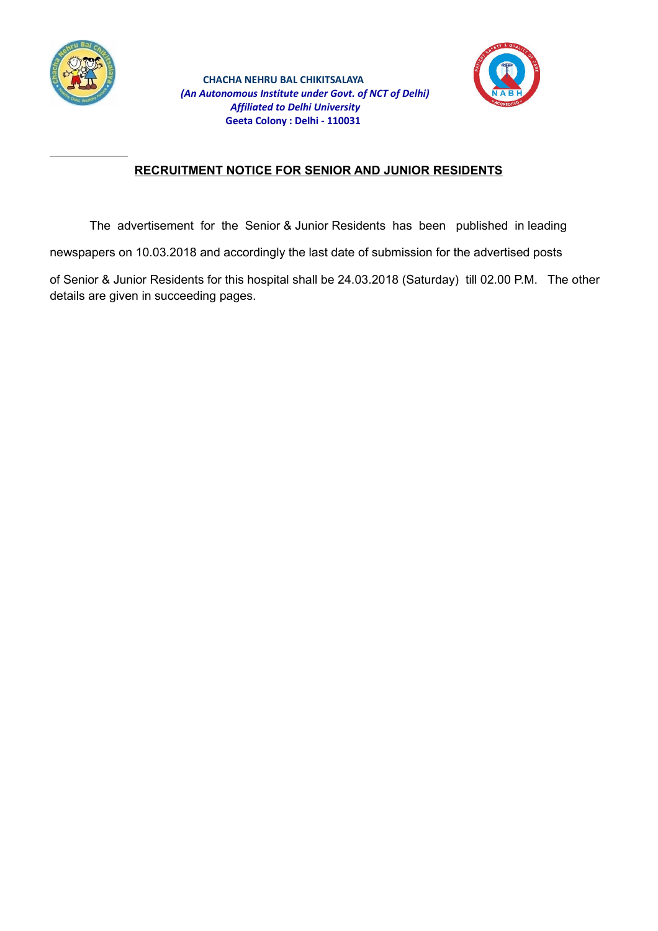



# **RECRUITMENT NOTICE FOR SENIOR AND JUNIOR RESIDENTS**

The advertisement for the Senior & Junior Residents has been published in leading

newspapers on 10.03.2018 and accordingly the last date of submission for the advertised posts

of Senior & Junior Residents for this hospital shall be 24.03.2018 (Saturday) till 02.00 P.M. The other details are given in succeeding pages.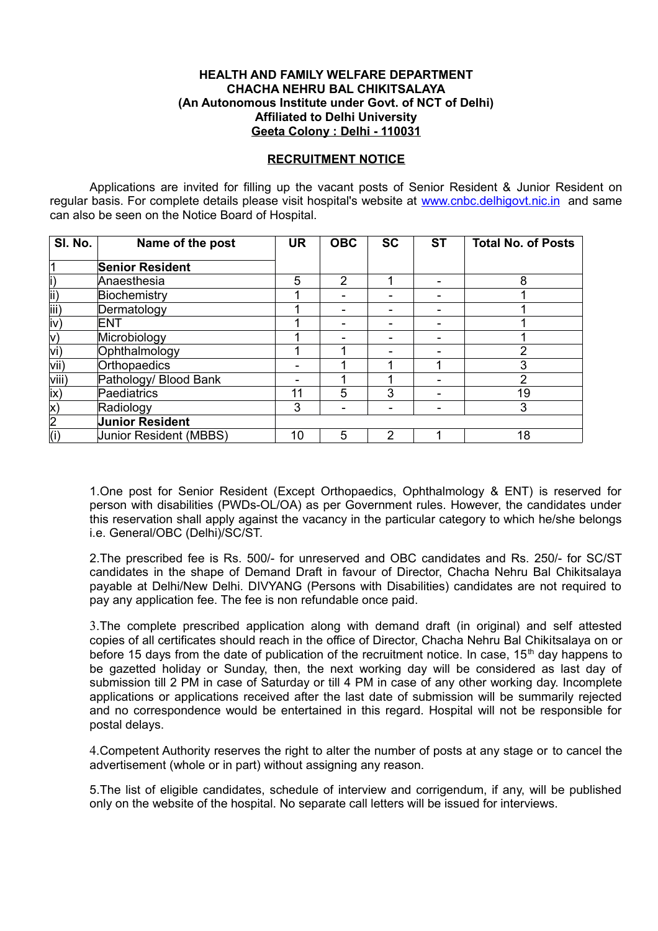#### **HEALTH AND FAMILY WELFARE DEPARTMENT CHACHA NEHRU BAL CHIKITSALAYA (An Autonomous Institute under Govt. of NCT of Delhi) Affiliated to Delhi University Geeta Colony : Delhi - 110031**

#### **RECRUITMENT NOTICE**

Applications are invited for filling up the vacant posts of Senior Resident & Junior Resident on regular basis. For complete details please visit hospital's website at [www.cnbc.delhigovt.nic.in](http://www.cnbc.delhigovt.nic.in/) and same can also be seen on the Notice Board of Hospital.

| SI. No.        | Name of the post       | <b>UR</b> | <b>OBC</b> | <b>SC</b> | <b>ST</b> | <b>Total No. of Posts</b> |
|----------------|------------------------|-----------|------------|-----------|-----------|---------------------------|
|                | <b>Senior Resident</b> |           |            |           |           |                           |
|                | Anaesthesia            | 5         | 2          |           | -         | 8                         |
| ii)            | Biochemistry           |           |            |           |           |                           |
| iii)           | Dermatology            |           |            |           |           |                           |
| iv)            | <b>ENT</b>             |           |            |           |           |                           |
| $\mathsf{v})$  | Microbiology           |           |            |           |           |                           |
| vi)            | Ophthalmology          |           |            |           |           | ົ                         |
| vii)           | Orthopaedics           |           |            |           |           | 3                         |
| viii)          | Pathology/ Blood Bank  |           |            |           |           | 2                         |
| ix)            | Paediatrics            | 11        | 5          | 3         |           | 19                        |
| X)             | Radiology              | 3         |            |           |           | 3                         |
| $\overline{2}$ | <b>Junior Resident</b> |           |            |           |           |                           |
| (i)            | Junior Resident (MBBS) | 10        | 5          | 2         |           | 18                        |

1.One post for Senior Resident (Except Orthopaedics, Ophthalmology & ENT) is reserved for person with disabilities (PWDs-OL/OA) as per Government rules. However, the candidates under this reservation shall apply against the vacancy in the particular category to which he/she belongs i.e. General/OBC (Delhi)/SC/ST.

2.The prescribed fee is Rs. 500/- for unreserved and OBC candidates and Rs. 250/- for SC/ST candidates in the shape of Demand Draft in favour of Director, Chacha Nehru Bal Chikitsalaya payable at Delhi/New Delhi. DIVYANG (Persons with Disabilities) candidates are not required to pay any application fee. The fee is non refundable once paid.

3.The complete prescribed application along with demand draft (in original) and self attested copies of all certificates should reach in the office of Director, Chacha Nehru Bal Chikitsalaya on or before 15 days from the date of publication of the recruitment notice. In case, 15<sup>th</sup> day happens to be gazetted holiday or Sunday, then, the next working day will be considered as last day of submission till 2 PM in case of Saturday or till 4 PM in case of any other working day. Incomplete applications or applications received after the last date of submission will be summarily rejected and no correspondence would be entertained in this regard. Hospital will not be responsible for postal delays.

4.Competent Authority reserves the right to alter the number of posts at any stage or to cancel the advertisement (whole or in part) without assigning any reason.

5.The list of eligible candidates, schedule of interview and corrigendum, if any, will be published only on the website of the hospital. No separate call letters will be issued for interviews.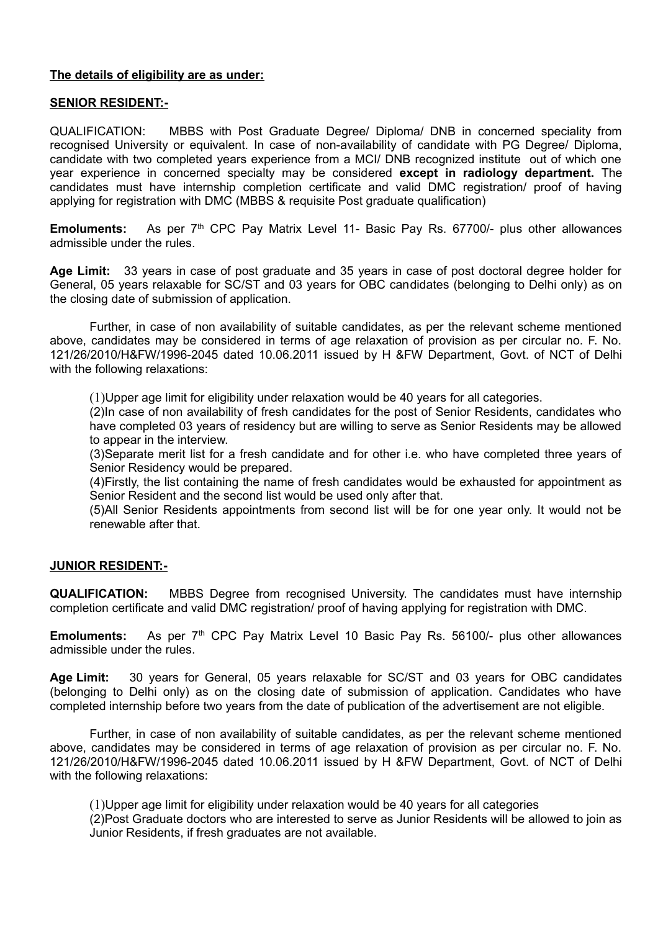### **The details of eligibility are as under:**

### **SENIOR RESIDENT:-**

QUALIFICATION: MBBS with Post Graduate Degree/ Diploma/ DNB in concerned speciality from recognised University or equivalent*.* In case of non-availability of candidate with PG Degree/ Diploma, candidate with two completed years experience from a MCI/ DNB recognized institute out of which one year experience in concerned specialty may be considered **except in radiology department.** The candidates must have internship completion certificate and valid DMC registration/ proof of having applying for registration with DMC (MBBS & requisite Post graduate qualification)

**Emoluments:** As per 7<sup>th</sup> CPC Pay Matrix Level 11- Basic Pay Rs. 67700/- plus other allowances admissible under the rules.

**Age Limit:** 33 years in case of post graduate and 35 years in case of post doctoral degree holder for General, 05 years relaxable for SC/ST and 03 years for OBC candidates (belonging to Delhi only) as on the closing date of submission of application.

Further, in case of non availability of suitable candidates, as per the relevant scheme mentioned above, candidates may be considered in terms of age relaxation of provision as per circular no. F. No. 121/26/2010/H&FW/1996-2045 dated 10.06.2011 issued by H &FW Department, Govt. of NCT of Delhi with the following relaxations:

(1)Upper age limit for eligibility under relaxation would be 40 years for all categories.

(2)In case of non availability of fresh candidates for the post of Senior Residents, candidates who have completed 03 years of residency but are willing to serve as Senior Residents may be allowed to appear in the interview.

(3)Separate merit list for a fresh candidate and for other i.e. who have completed three years of Senior Residency would be prepared.

(4)Firstly, the list containing the name of fresh candidates would be exhausted for appointment as Senior Resident and the second list would be used only after that.

(5)All Senior Residents appointments from second list will be for one year only. It would not be renewable after that.

### **JUNIOR RESIDENT:-**

**QUALIFICATION:** MBBS Degree from recognised University. The candidates must have internship completion certificate and valid DMC registration/ proof of having applying for registration with DMC.

**Emoluments:** As per 7<sup>th</sup> CPC Pay Matrix Level 10 Basic Pay Rs. 56100/- plus other allowances admissible under the rules.

**Age Limit:** 30 years for General, 05 years relaxable for SC/ST and 03 years for OBC candidates (belonging to Delhi only) as on the closing date of submission of application. Candidates who have completed internship before two years from the date of publication of the advertisement are not eligible.

Further, in case of non availability of suitable candidates, as per the relevant scheme mentioned above, candidates may be considered in terms of age relaxation of provision as per circular no. F. No. 121/26/2010/H&FW/1996-2045 dated 10.06.2011 issued by H &FW Department, Govt. of NCT of Delhi with the following relaxations:

(1)Upper age limit for eligibility under relaxation would be 40 years for all categories (2)Post Graduate doctors who are interested to serve as Junior Residents will be allowed to join as Junior Residents, if fresh graduates are not available.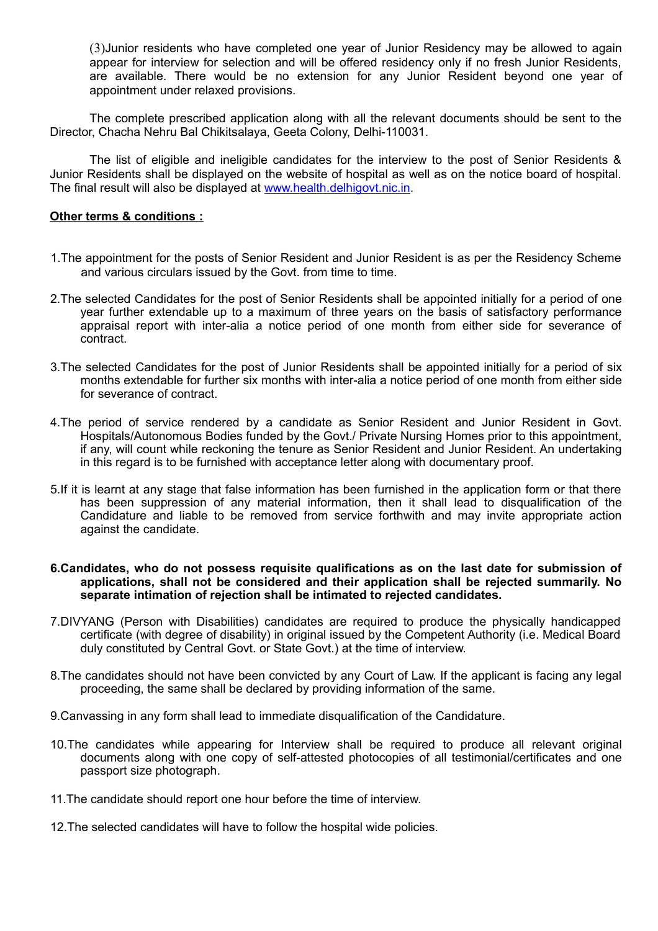(3)Junior residents who have completed one year of Junior Residency may be allowed to again appear for interview for selection and will be offered residency only if no fresh Junior Residents, are available. There would be no extension for any Junior Resident beyond one year of appointment under relaxed provisions.

The complete prescribed application along with all the relevant documents should be sent to the Director, Chacha Nehru Bal Chikitsalaya, Geeta Colony, Delhi-110031.

The list of eligible and ineligible candidates for the interview to the post of Senior Residents & Junior Residents shall be displayed on the website of hospital as well as on the notice board of hospital. The final result will also be displayed at [www.health.delhigovt.nic.in.](http://www.health.delhigovt.nic.in/)

#### **Other terms & conditions :**

- 1.The appointment for the posts of Senior Resident and Junior Resident is as per the Residency Scheme and various circulars issued by the Govt. from time to time.
- 2.The selected Candidates for the post of Senior Residents shall be appointed initially for a period of one year further extendable up to a maximum of three years on the basis of satisfactory performance appraisal report with inter-alia a notice period of one month from either side for severance of contract.
- 3.The selected Candidates for the post of Junior Residents shall be appointed initially for a period of six months extendable for further six months with inter-alia a notice period of one month from either side for severance of contract.
- 4.The period of service rendered by a candidate as Senior Resident and Junior Resident in Govt. Hospitals/Autonomous Bodies funded by the Govt./ Private Nursing Homes prior to this appointment, if any, will count while reckoning the tenure as Senior Resident and Junior Resident. An undertaking in this regard is to be furnished with acceptance letter along with documentary proof.
- 5.If it is learnt at any stage that false information has been furnished in the application form or that there has been suppression of any material information, then it shall lead to disqualification of the Candidature and liable to be removed from service forthwith and may invite appropriate action against the candidate.

#### **6.Candidates, who do not possess requisite qualifications as on the last date for submission of applications, shall not be considered and their application shall be rejected summarily. No separate intimation of rejection shall be intimated to rejected candidates.**

- 7.DIVYANG (Person with Disabilities) candidates are required to produce the physically handicapped certificate (with degree of disability) in original issued by the Competent Authority (i.e. Medical Board duly constituted by Central Govt. or State Govt.) at the time of interview.
- 8.The candidates should not have been convicted by any Court of Law. If the applicant is facing any legal proceeding, the same shall be declared by providing information of the same.
- 9.Canvassing in any form shall lead to immediate disqualification of the Candidature.
- 10.The candidates while appearing for Interview shall be required to produce all relevant original documents along with one copy of self-attested photocopies of all testimonial/certificates and one passport size photograph.
- 11.The candidate should report one hour before the time of interview.
- 12.The selected candidates will have to follow the hospital wide policies.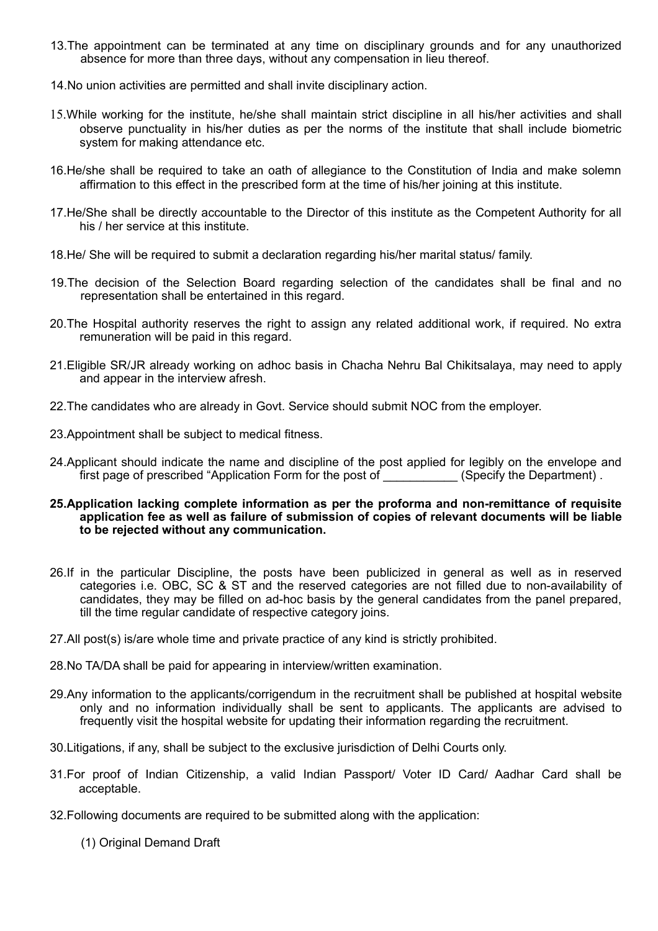- 13.The appointment can be terminated at any time on disciplinary grounds and for any unauthorized absence for more than three days, without any compensation in lieu thereof.
- 14.No union activities are permitted and shall invite disciplinary action.
- 15.While working for the institute, he/she shall maintain strict discipline in all his/her activities and shall observe punctuality in his/her duties as per the norms of the institute that shall include biometric system for making attendance etc.
- 16.He/she shall be required to take an oath of allegiance to the Constitution of India and make solemn affirmation to this effect in the prescribed form at the time of his/her joining at this institute.
- 17.He/She shall be directly accountable to the Director of this institute as the Competent Authority for all his / her service at this institute.
- 18.He/ She will be required to submit a declaration regarding his/her marital status/ family.
- 19.The decision of the Selection Board regarding selection of the candidates shall be final and no representation shall be entertained in this regard.
- 20.The Hospital authority reserves the right to assign any related additional work, if required. No extra remuneration will be paid in this regard.
- 21.Eligible SR/JR already working on adhoc basis in Chacha Nehru Bal Chikitsalaya, may need to apply and appear in the interview afresh.
- 22.The candidates who are already in Govt. Service should submit NOC from the employer.
- 23.Appointment shall be subject to medical fitness.
- 24.Applicant should indicate the name and discipline of the post applied for legibly on the envelope and first page of prescribed "Application Form for the post of \_\_\_\_\_\_\_\_\_\_\_\_(Specify the Department).
- **25.Application lacking complete information as per the proforma and non-remittance of requisite application fee as well as failure of submission of copies of relevant documents will be liable to be rejected without any communication.**
- 26.If in the particular Discipline, the posts have been publicized in general as well as in reserved categories i.e. OBC, SC & ST and the reserved categories are not filled due to non-availability of candidates, they may be filled on ad-hoc basis by the general candidates from the panel prepared, till the time regular candidate of respective category joins.
- 27.All post(s) is/are whole time and private practice of any kind is strictly prohibited.
- 28.No TA/DA shall be paid for appearing in interview/written examination.
- 29.Any information to the applicants/corrigendum in the recruitment shall be published at hospital website only and no information individually shall be sent to applicants. The applicants are advised to frequently visit the hospital website for updating their information regarding the recruitment.
- 30.Litigations, if any, shall be subject to the exclusive jurisdiction of Delhi Courts only.
- 31.For proof of Indian Citizenship, a valid Indian Passport/ Voter ID Card/ Aadhar Card shall be acceptable.
- 32.Following documents are required to be submitted along with the application:
	- (1) Original Demand Draft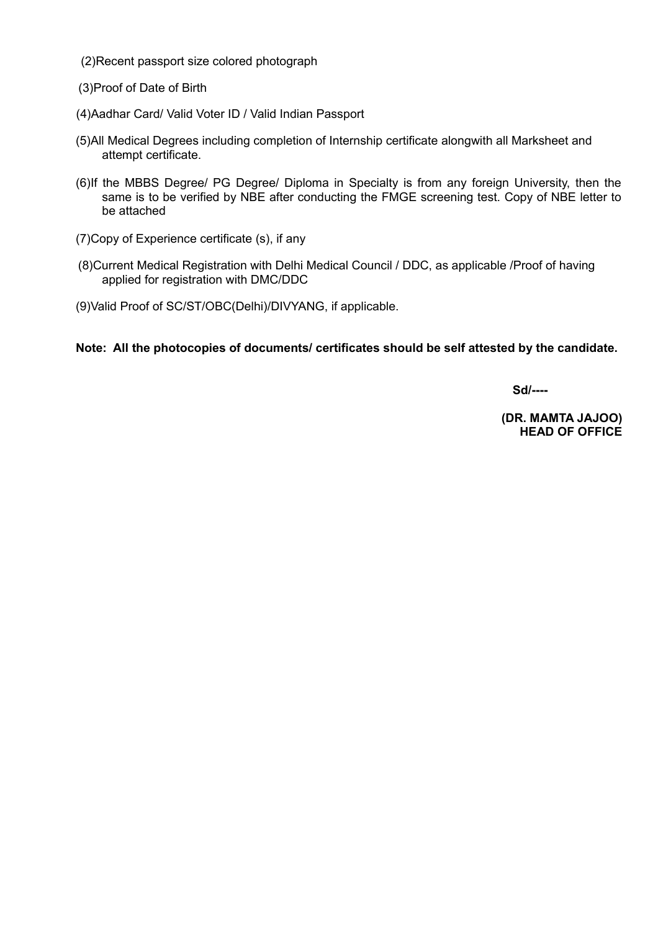(2)Recent passport size colored photograph

(3)Proof of Date of Birth

- (4)Aadhar Card/ Valid Voter ID / Valid Indian Passport
- (5)All Medical Degrees including completion of Internship certificate alongwith all Marksheet and attempt certificate.
- (6)If the MBBS Degree/ PG Degree/ Diploma in Specialty is from any foreign University, then the same is to be verified by NBE after conducting the FMGE screening test. Copy of NBE letter to be attached
- (7)Copy of Experience certificate (s), if any
- (8)Current Medical Registration with Delhi Medical Council / DDC, as applicable /Proof of having applied for registration with DMC/DDC
- (9)Valid Proof of SC/ST/OBC(Delhi)/DIVYANG, if applicable.

**Note: All the photocopies of documents/ certificates should be self attested by the candidate.**

**Sd/----**

**(DR. MAMTA JAJOO) HEAD OF OFFICE**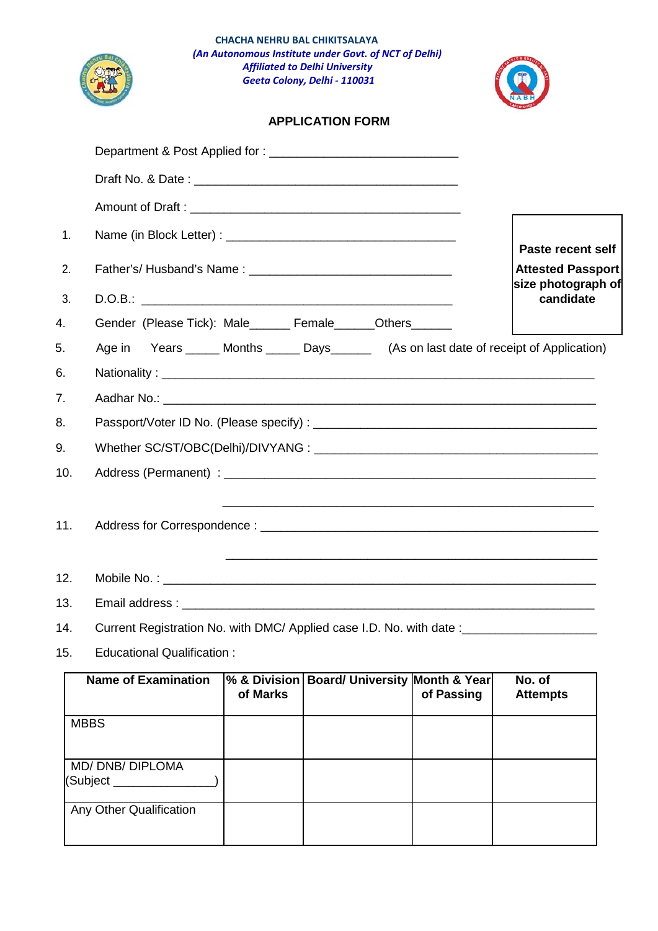|     | CHACHA NEHRU BAL CHIKITSALAYA<br>(An Autonomous Institute under Govt. of NCT of Delhi)<br><b>Affiliated to Delhi University</b><br>Geeta Colony, Delhi - 110031 |                                                                     |
|-----|-----------------------------------------------------------------------------------------------------------------------------------------------------------------|---------------------------------------------------------------------|
|     | <b>APPLICATION FORM</b>                                                                                                                                         |                                                                     |
|     |                                                                                                                                                                 |                                                                     |
|     |                                                                                                                                                                 |                                                                     |
|     |                                                                                                                                                                 |                                                                     |
| 1.  |                                                                                                                                                                 |                                                                     |
| 2.  |                                                                                                                                                                 | Paste recent self<br><b>Attested Passport</b><br>size photograph of |
| 3.  |                                                                                                                                                                 | candidate                                                           |
| 4.  | Gender (Please Tick): Male______ Female______Others______                                                                                                       |                                                                     |
| 5.  | Years ______ Months ______ Days_________ (As on last date of receipt of Application)<br>Age in                                                                  |                                                                     |
| 6.  |                                                                                                                                                                 |                                                                     |
| 7.  |                                                                                                                                                                 |                                                                     |
| 8.  |                                                                                                                                                                 |                                                                     |
| 9.  |                                                                                                                                                                 |                                                                     |
| 10. |                                                                                                                                                                 |                                                                     |
|     |                                                                                                                                                                 |                                                                     |
| 12. |                                                                                                                                                                 |                                                                     |
| 13. |                                                                                                                                                                 |                                                                     |
| 14. | Current Registration No. with DMC/ Applied case I.D. No. with date: ___________________                                                                         |                                                                     |
| 15. | <b>Educational Qualification:</b>                                                                                                                               |                                                                     |
|     |                                                                                                                                                                 |                                                                     |

| <b>Name of Examination</b>   | of Marks | % & Division   Board/ University Month & Year | of Passing | No. of<br><b>Attempts</b> |
|------------------------------|----------|-----------------------------------------------|------------|---------------------------|
| <b>MBBS</b>                  |          |                                               |            |                           |
| MD/DNB/DIPLOMA<br>(Subject _ |          |                                               |            |                           |
| Any Other Qualification      |          |                                               |            |                           |